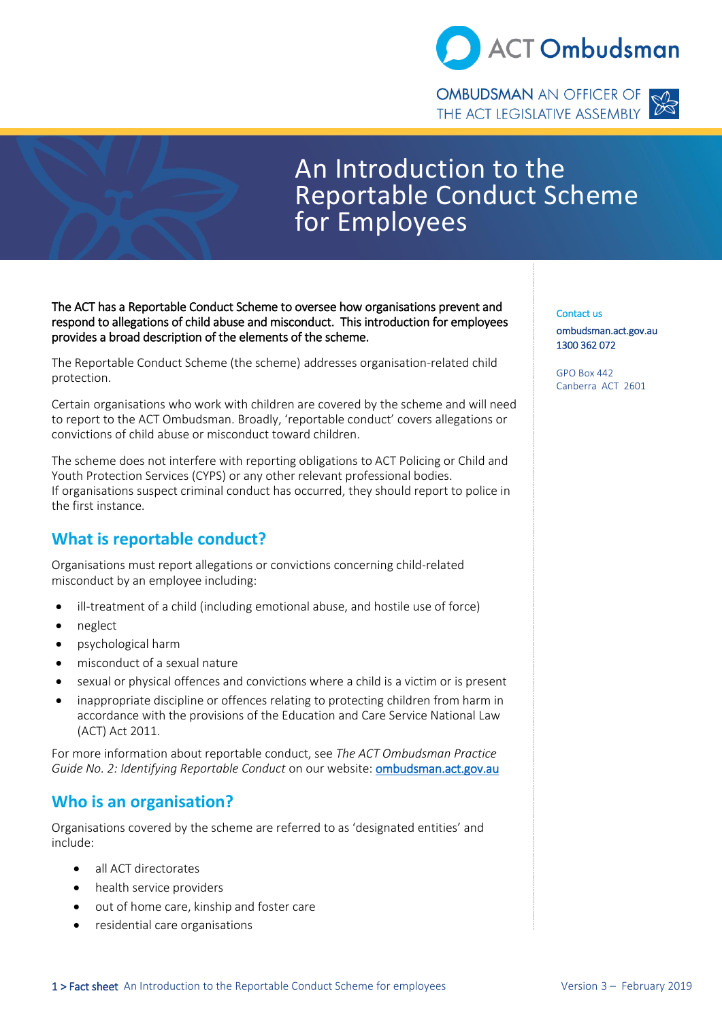

**OMBUDSMAN** AN OFFICER OF THE ACT LEGISLATIVE ASSEMBLY



# An Introduction to the Reportable Conduct Scheme for Employees

The ACT has a Reportable Conduct Scheme to oversee how organisations prevent and respond to allegations of child abuse and misconduct. This introduction for employees provides a broad description of the elements of the scheme.

The Reportable Conduct Scheme (the scheme) addresses organisation-related child protection.

Certain organisations who work with children are covered by the scheme and will need to report to the ACT Ombudsman. Broadly, 'reportable conduct' covers allegations or convictions of child abuse or misconduct toward children.

The scheme does not interfere with reporting obligations to ACT Policing or Child and Youth Protection Services (CYPS) or any other relevant professional bodies. If organisations suspect criminal conduct has occurred, they should report to police in the first instance.

# **What is reportable conduct?**

Organisations must report allegations or convictions concerning child-related misconduct by an employee including:

- ill-treatment of a child (including emotional abuse, and hostile use of force)
- neglect
- psychological harm
- misconduct of a sexual nature
- sexual or physical offences and convictions where a child is a victim or is present
- inappropriate discipline or offences relating to protecting children from harm in accordance with the provisions of the Education and Care Service National Law (ACT) Act 2011.

For more information about reportable conduct, see *The ACT Ombudsman Practice Guide No. 2: Identifying Reportable Conduct* on our website[: ombudsman.act.gov.au](ombudsman.act.gov.au)

### **Who is an organisation?**

Organisations covered by the scheme are referred to as 'designated entities' and include:

- all ACT directorates
- health service providers
- out of home care, kinship and foster care
- residential care organisations

Contact us [ombudsman.act.gov.au](http://www.ombudsman.gov.au/)  1300 362 072

GPO Box 442 Canberra ACT 2601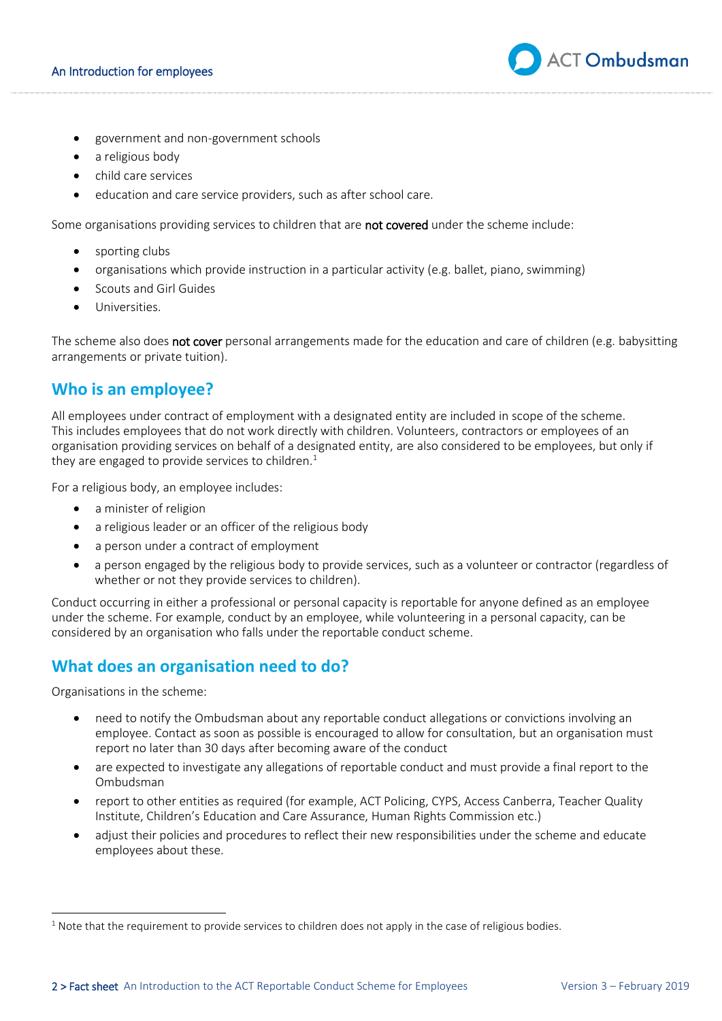

- government and non-government schools
- a religious body
- child care services
- education and care service providers, such as after school care.

Some organisations providing services to children that are not covered under the scheme include:

- sporting clubs
- organisations which provide instruction in a particular activity (e.g. ballet, piano, swimming)
- Scouts and Girl Guides
- Universities.

The scheme also does not cover personal arrangements made for the education and care of children (e.g. babysitting arrangements or private tuition).

#### **Who is an employee?**

All employees under contract of employment with a designated entity are included in scope of the scheme. This includes employees that do not work directly with children. Volunteers, contractors or employees of an organisation providing services on behalf of a designated entity, are also considered to be employees, but only if they are engaged to provide services to children.<sup>1</sup>

For a religious body, an employee includes:

- a minister of religion
- a religious leader or an officer of the religious body
- a person under a contract of employment
- a person engaged by the religious body to provide services, such as a volunteer or contractor (regardless of whether or not they provide services to children).

Conduct occurring in either a professional or personal capacity is reportable for anyone defined as an employee under the scheme. For example, conduct by an employee, while volunteering in a personal capacity, can be considered by an organisation who falls under the reportable conduct scheme.

### **What does an organisation need to do?**

Organisations in the scheme:

- need to notify the Ombudsman about any reportable conduct allegations or convictions involving an employee. Contact as soon as possible is encouraged to allow for consultation, but an organisation must report no later than 30 days after becoming aware of the conduct
- are expected to investigate any allegations of reportable conduct and must provide a final report to the Ombudsman
- report to other entities as required (for example, ACT Policing, CYPS, Access Canberra, Teacher Quality Institute, Children's Education and Care Assurance, Human Rights Commission etc.)
- adjust their policies and procedures to reflect their new responsibilities under the scheme and educate employees about these.

 $<sup>1</sup>$  Note that the requirement to provide services to children does not apply in the case of religious bodies.</sup>